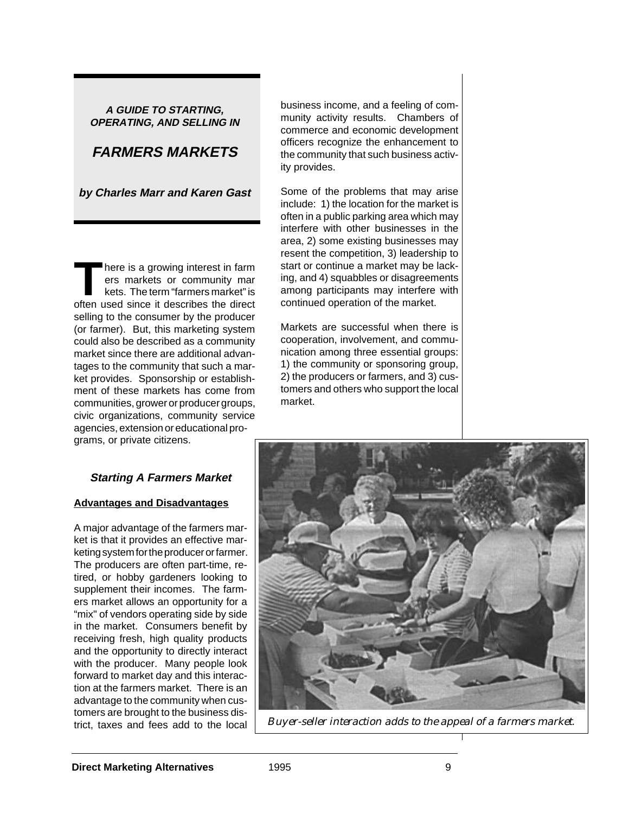#### **A GUIDE TO STARTING, OPERATING, AND SELLING IN**

# **FARMERS MARKETS**

**by Charles Marr and Karen Gast**

**T**here is a growing interest in farm ers markets or community mar kets. The term "farmers market" is often used since it describes the direct selling to the consumer by the producer (or farmer). But, this marketing system could also be described as a community market since there are additional advantages to the community that such a market provides. Sponsorship or establishment of these markets has come from communities, grower or producer groups, civic organizations, community service agencies, extension or educational programs, or private citizens.

## **Starting A Farmers Market**

## **Advantages and Disadvantages**

A major advantage of the farmers market is that it provides an effective marketing system for the producer or farmer. The producers are often part-time, retired, or hobby gardeners looking to supplement their incomes. The farmers market allows an opportunity for a "mix" of vendors operating side by side in the market. Consumers benefit by receiving fresh, high quality products and the opportunity to directly interact with the producer. Many people look forward to market day and this interaction at the farmers market. There is an advantage to the community when customers are brought to the business disbusiness income, and a feeling of community activity results. Chambers of commerce and economic development officers recognize the enhancement to the community that such business activity provides.

Some of the problems that may arise include: 1) the location for the market is often in a public parking area which may interfere with other businesses in the area, 2) some existing businesses may resent the competition, 3) leadership to start or continue a market may be lacking, and 4) squabbles or disagreements among participants may interfere with continued operation of the market.

Markets are successful when there is cooperation, involvement, and communication among three essential groups: 1) the community or sponsoring group, 2) the producers or farmers, and 3) customers and others who support the local market.



trict, taxes and fees add to the local *Buyer-seller interaction adds to the appeal of a farmers market.*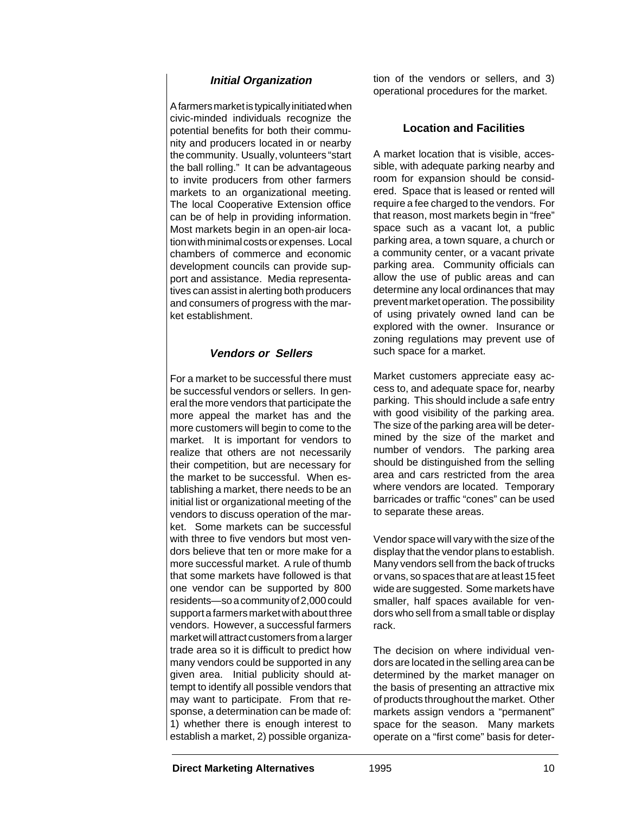## **Initial Organization**

A farmers market is typically initiated when civic-minded individuals recognize the potential benefits for both their community and producers located in or nearby the community. Usually, volunteers "start the ball rolling." It can be advantageous to invite producers from other farmers markets to an organizational meeting. The local Cooperative Extension office can be of help in providing information. Most markets begin in an open-air location with minimal costs or expenses. Local chambers of commerce and economic development councils can provide support and assistance. Media representatives can assist in alerting both producers and consumers of progress with the market establishment.

## **Vendors or Sellers**

For a market to be successful there must be successful vendors or sellers. In general the more vendors that participate the more appeal the market has and the more customers will begin to come to the market. It is important for vendors to realize that others are not necessarily their competition, but are necessary for the market to be successful. When establishing a market, there needs to be an initial list or organizational meeting of the vendors to discuss operation of the market. Some markets can be successful with three to five vendors but most vendors believe that ten or more make for a more successful market. A rule of thumb that some markets have followed is that one vendor can be supported by 800 residents—so a community of 2,000 could support a farmers market with about three vendors. However, a successful farmers market will attract customers from a larger trade area so it is difficult to predict how many vendors could be supported in any given area. Initial publicity should attempt to identify all possible vendors that may want to participate. From that response, a determination can be made of: 1) whether there is enough interest to establish a market, 2) possible organization of the vendors or sellers, and 3) operational procedures for the market.

#### **Location and Facilities**

A market location that is visible, accessible, with adequate parking nearby and room for expansion should be considered. Space that is leased or rented will require a fee charged to the vendors. For that reason, most markets begin in "free" space such as a vacant lot, a public parking area, a town square, a church or a community center, or a vacant private parking area. Community officials can allow the use of public areas and can determine any local ordinances that may prevent market operation. The possibility of using privately owned land can be explored with the owner. Insurance or zoning regulations may prevent use of such space for a market.

Market customers appreciate easy access to, and adequate space for, nearby parking. This should include a safe entry with good visibility of the parking area. The size of the parking area will be determined by the size of the market and number of vendors. The parking area should be distinguished from the selling area and cars restricted from the area where vendors are located. Temporary barricades or traffic "cones" can be used to separate these areas.

Vendor space will vary with the size of the display that the vendor plans to establish. Many vendors sell from the back of trucks or vans, so spaces that are at least 15 feet wide are suggested. Some markets have smaller, half spaces available for vendors who sell from a small table or display rack.

The decision on where individual vendors are located in the selling area can be determined by the market manager on the basis of presenting an attractive mix of products throughout the market. Other markets assign vendors a "permanent" space for the season. Many markets operate on a "first come" basis for deter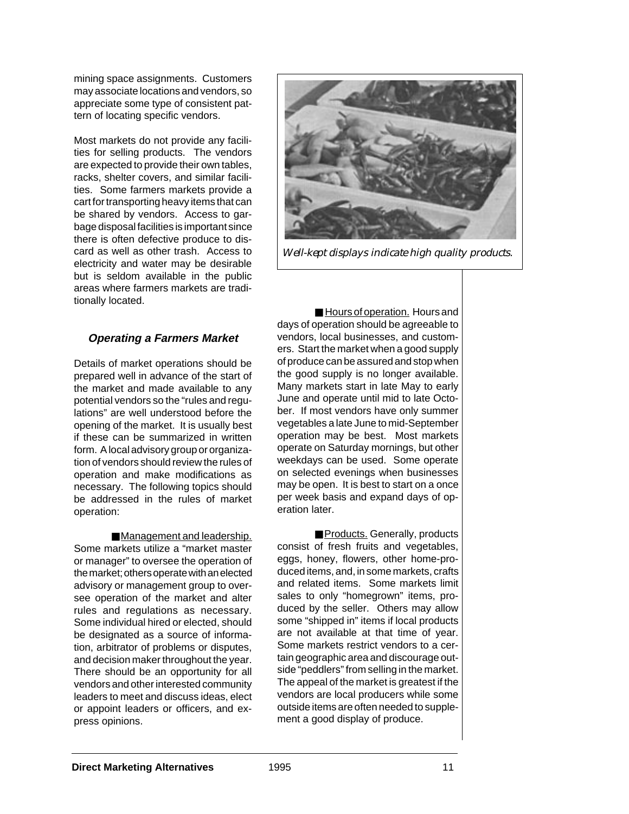mining space assignments. Customers may associate locations and vendors, so appreciate some type of consistent pattern of locating specific vendors.

Most markets do not provide any facilities for selling products. The vendors are expected to provide their own tables, racks, shelter covers, and similar facilities. Some farmers markets provide a cart for transporting heavy items that can be shared by vendors. Access to garbage disposal facilities is important since there is often defective produce to discard as well as other trash. Access to electricity and water may be desirable but is seldom available in the public areas where farmers markets are traditionally located.

## **Operating a Farmers Market**

Details of market operations should be prepared well in advance of the start of the market and made available to any potential vendors so the "rules and regulations" are well understood before the opening of the market. It is usually best if these can be summarized in written form. A local advisory group or organization of vendors should review the rules of operation and make modifications as necessary. The following topics should be addressed in the rules of market operation:

■ Management and leadership. Some markets utilize a "market master or manager" to oversee the operation of the market; others operate with an elected advisory or management group to oversee operation of the market and alter rules and regulations as necessary. Some individual hired or elected, should be designated as a source of information, arbitrator of problems or disputes, and decision maker throughout the year. There should be an opportunity for all vendors and other interested community leaders to meet and discuss ideas, elect or appoint leaders or officers, and express opinions.



*Well-kept displays indicate high quality products.*

■ Hours of operation. Hours and days of operation should be agreeable to vendors, local businesses, and customers. Start the market when a good supply of produce can be assured and stop when the good supply is no longer available. Many markets start in late May to early June and operate until mid to late October. If most vendors have only summer vegetables a late June to mid-September operation may be best. Most markets operate on Saturday mornings, but other weekdays can be used. Some operate on selected evenings when businesses may be open. It is best to start on a once per week basis and expand days of operation later.

■ Products. Generally, products consist of fresh fruits and vegetables, eggs, honey, flowers, other home-produced items, and, in some markets, crafts and related items. Some markets limit sales to only "homegrown" items, produced by the seller. Others may allow some "shipped in" items if local products are not available at that time of year. Some markets restrict vendors to a certain geographic area and discourage outside "peddlers" from selling in the market. The appeal of the market is greatest if the vendors are local producers while some outside items are often needed to supplement a good display of produce.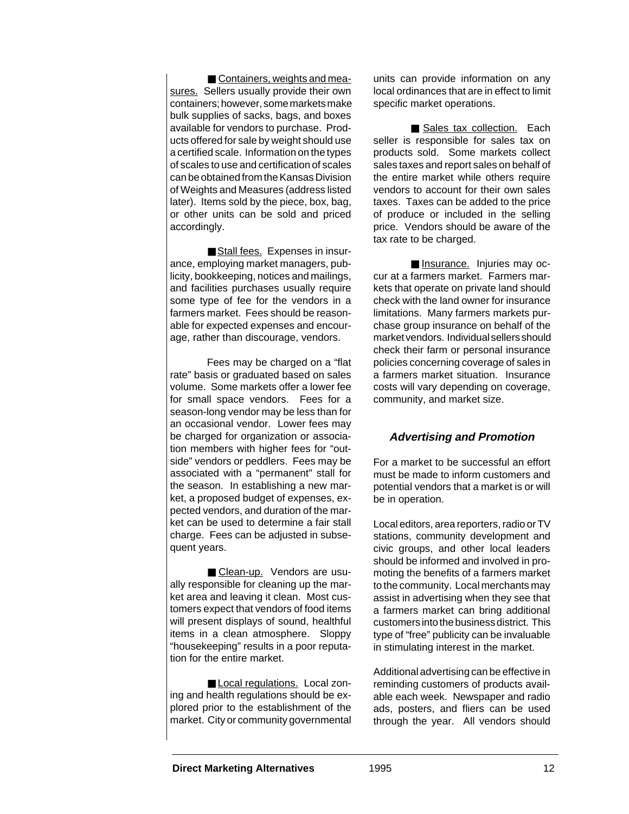■ Containers, weights and measures. Sellers usually provide their own containers; however, some markets make bulk supplies of sacks, bags, and boxes available for vendors to purchase. Products offered for sale by weight should use a certified scale. Information on the types of scales to use and certification of scales can be obtained from the Kansas Division of Weights and Measures (address listed later). Items sold by the piece, box, bag, or other units can be sold and priced accordingly.

■ Stall fees. Expenses in insurance, employing market managers, publicity, bookkeeping, notices and mailings, and facilities purchases usually require some type of fee for the vendors in a farmers market. Fees should be reasonable for expected expenses and encourage, rather than discourage, vendors.

Fees may be charged on a "flat rate" basis or graduated based on sales volume. Some markets offer a lower fee for small space vendors. Fees for a season-long vendor may be less than for an occasional vendor. Lower fees may be charged for organization or association members with higher fees for "outside" vendors or peddlers. Fees may be associated with a "permanent" stall for the season. In establishing a new market, a proposed budget of expenses, expected vendors, and duration of the market can be used to determine a fair stall charge. Fees can be adjusted in subsequent years.

■ Clean-up. Vendors are usually responsible for cleaning up the market area and leaving it clean. Most customers expect that vendors of food items will present displays of sound, healthful items in a clean atmosphere. Sloppy "housekeeping" results in a poor reputation for the entire market.

■ Local regulations. Local zoning and health regulations should be explored prior to the establishment of the market. City or community governmental units can provide information on any local ordinances that are in effect to limit specific market operations.

■ Sales tax collection. Each seller is responsible for sales tax on products sold. Some markets collect sales taxes and report sales on behalf of the entire market while others require vendors to account for their own sales taxes. Taxes can be added to the price of produce or included in the selling price. Vendors should be aware of the tax rate to be charged.

■ Insurance. Injuries may occur at a farmers market. Farmers markets that operate on private land should check with the land owner for insurance limitations. Many farmers markets purchase group insurance on behalf of the market vendors. Individual sellers should check their farm or personal insurance policies concerning coverage of sales in a farmers market situation. Insurance costs will vary depending on coverage, community, and market size.

#### **Advertising and Promotion**

For a market to be successful an effort must be made to inform customers and potential vendors that a market is or will be in operation.

Local editors, area reporters, radio or TV stations, community development and civic groups, and other local leaders should be informed and involved in promoting the benefits of a farmers market to the community. Local merchants may assist in advertising when they see that a farmers market can bring additional customers into the business district. This type of "free" publicity can be invaluable in stimulating interest in the market.

Additional advertising can be effective in reminding customers of products available each week. Newspaper and radio ads, posters, and fliers can be used through the year. All vendors should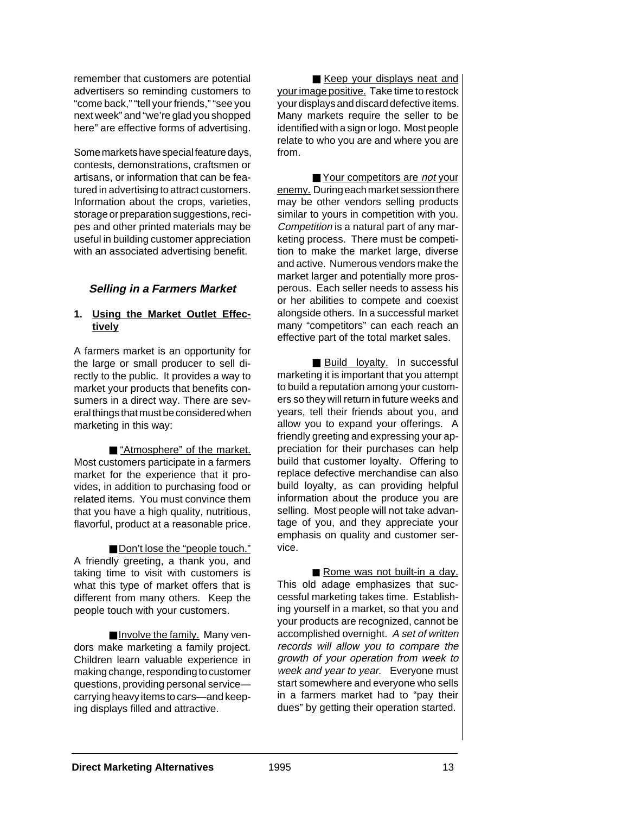remember that customers are potential advertisers so reminding customers to "come back," "tell your friends," "see you next week" and "we're glad you shopped here" are effective forms of advertising.

Some markets have special feature days, contests, demonstrations, craftsmen or artisans, or information that can be featured in advertising to attract customers. Information about the crops, varieties, storage or preparation suggestions, recipes and other printed materials may be useful in building customer appreciation with an associated advertising benefit.

## **Selling in a Farmers Market**

#### **1. Using the Market Outlet Effectively**

A farmers market is an opportunity for the large or small producer to sell directly to the public. It provides a way to market your products that benefits consumers in a direct way. There are several things that must be considered when marketing in this way:

■ "Atmosphere" of the market. Most customers participate in a farmers market for the experience that it provides, in addition to purchasing food or related items. You must convince them that you have a high quality, nutritious, flavorful, product at a reasonable price.

■ Don't lose the "people touch." A friendly greeting, a thank you, and taking time to visit with customers is what this type of market offers that is different from many others. Keep the people touch with your customers.

■ Involve the family. Many vendors make marketing a family project. Children learn valuable experience in making change, responding to customer questions, providing personal service carrying heavy items to cars—and keeping displays filled and attractive.

■ Keep your displays neat and your image positive. Take time to restock your displays and discard defective items. Many markets require the seller to be identified with a sign or logo. Most people relate to who you are and where you are from.

■ Your competitors are not your enemy. During each market session there may be other vendors selling products similar to yours in competition with you. Competition is a natural part of any marketing process. There must be competition to make the market large, diverse and active. Numerous vendors make the market larger and potentially more prosperous. Each seller needs to assess his or her abilities to compete and coexist alongside others. In a successful market many "competitors" can each reach an effective part of the total market sales.

■ Build loyalty. In successful marketing it is important that you attempt to build a reputation among your customers so they will return in future weeks and years, tell their friends about you, and allow you to expand your offerings. A friendly greeting and expressing your appreciation for their purchases can help build that customer loyalty. Offering to replace defective merchandise can also build loyalty, as can providing helpful information about the produce you are selling. Most people will not take advantage of you, and they appreciate your emphasis on quality and customer service.

■ Rome was not built-in a day. This old adage emphasizes that successful marketing takes time. Establishing yourself in a market, so that you and your products are recognized, cannot be accomplished overnight. A set of written records will allow you to compare the growth of your operation from week to week and year to year. Everyone must start somewhere and everyone who sells in a farmers market had to "pay their dues" by getting their operation started.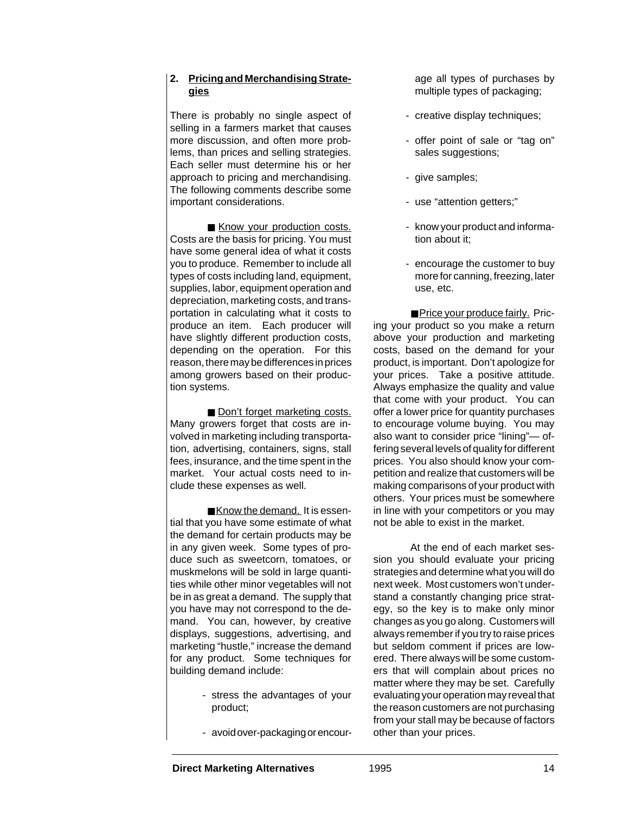## **2. Pricing and Merchandising Strategies**

There is probably no single aspect of selling in a farmers market that causes more discussion, and often more problems, than prices and selling strategies. Each seller must determine his or her approach to pricing and merchandising. The following comments describe some important considerations.

■ Know your production costs. Costs are the basis for pricing. You must have some general idea of what it costs you to produce. Remember to include all types of costs including land, equipment, supplies, labor, equipment operation and depreciation, marketing costs, and transportation in calculating what it costs to produce an item. Each producer will have slightly different production costs, depending on the operation. For this reason, there may be differences in prices among growers based on their production systems.

■ Don't forget marketing costs. Many growers forget that costs are involved in marketing including transportation, advertising, containers, signs, stall fees, insurance, and the time spent in the market. Your actual costs need to include these expenses as well.

■ Know the demand. It is essential that you have some estimate of what the demand for certain products may be in any given week. Some types of produce such as sweetcorn, tomatoes, or muskmelons will be sold in large quantities while other minor vegetables will not be in as great a demand. The supply that you have may not correspond to the demand. You can, however, by creative displays, suggestions, advertising, and marketing "hustle," increase the demand for any product. Some techniques for building demand include:

- stress the advantages of your product;
- avoid over-packaging or encour-

age all types of purchases by multiple types of packaging;

- creative display techniques;
- offer point of sale or "tag on" sales suggestions;
- give samples;
- use "attention getters;"
- know your product and information about it;
- encourage the customer to buy more for canning, freezing, later use, etc.

■ Price your produce fairly. Pricing your product so you make a return above your production and marketing costs, based on the demand for your product, is important. Don't apologize for your prices. Take a positive attitude. Always emphasize the quality and value that come with your product. You can offer a lower price for quantity purchases to encourage volume buying. You may also want to consider price "lining"— offering several levels of quality for different prices. You also should know your competition and realize that customers will be making comparisons of your product with others. Your prices must be somewhere in line with your competitors or you may not be able to exist in the market.

At the end of each market session you should evaluate your pricing strategies and determine what you will do next week. Most customers won't understand a constantly changing price strategy, so the key is to make only minor changes as you go along. Customers will always remember if you try to raise prices but seldom comment if prices are lowered. There always will be some customers that will complain about prices no matter where they may be set. Carefully evaluating your operation may reveal that the reason customers are not purchasing from your stall may be because of factors other than your prices.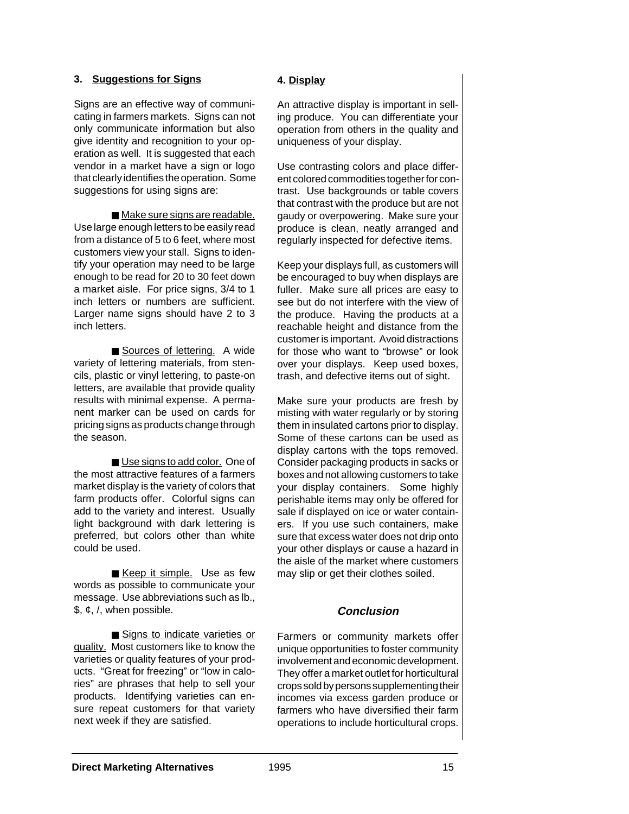#### **3. Suggestions for Signs**

Signs are an effective way of communicating in farmers markets. Signs can not only communicate information but also give identity and recognition to your operation as well. It is suggested that each vendor in a market have a sign or logo that clearly identifies the operation. Some suggestions for using signs are:

■ Make sure signs are readable. Use large enough letters to be easily read from a distance of 5 to 6 feet, where most customers view your stall. Signs to identify your operation may need to be large enough to be read for 20 to 30 feet down a market aisle. For price signs, 3/4 to 1 inch letters or numbers are sufficient. Larger name signs should have 2 to 3 inch letters.

■ Sources of lettering. A wide variety of lettering materials, from stencils, plastic or vinyl lettering, to paste-on letters, are available that provide quality results with minimal expense. A permanent marker can be used on cards for pricing signs as products change through the season.

■ Use signs to add color. One of the most attractive features of a farmers market display is the variety of colors that farm products offer. Colorful signs can add to the variety and interest. Usually light background with dark lettering is preferred, but colors other than white could be used.

■ Keep it simple. Use as few words as possible to communicate your message. Use abbreviations such as lb.,  $$,  $\phi$ , /, when possible.$ 

■ Signs to indicate varieties or quality. Most customers like to know the varieties or quality features of your products. "Great for freezing" or "low in calories" are phrases that help to sell your products. Identifying varieties can ensure repeat customers for that variety next week if they are satisfied.

#### **4. Display**

An attractive display is important in selling produce. You can differentiate your operation from others in the quality and uniqueness of your display.

Use contrasting colors and place different colored commodities together for contrast. Use backgrounds or table covers that contrast with the produce but are not gaudy or overpowering. Make sure your produce is clean, neatly arranged and regularly inspected for defective items.

Keep your displays full, as customers will be encouraged to buy when displays are fuller. Make sure all prices are easy to see but do not interfere with the view of the produce. Having the products at a reachable height and distance from the customer is important. Avoid distractions for those who want to "browse" or look over your displays. Keep used boxes, trash, and defective items out of sight.

Make sure your products are fresh by misting with water regularly or by storing them in insulated cartons prior to display. Some of these cartons can be used as display cartons with the tops removed. Consider packaging products in sacks or boxes and not allowing customers to take your display containers. Some highly perishable items may only be offered for sale if displayed on ice or water containers. If you use such containers, make sure that excess water does not drip onto your other displays or cause a hazard in the aisle of the market where customers may slip or get their clothes soiled.

## **Conclusion**

Farmers or community markets offer unique opportunities to foster community involvement and economic development. They offer a market outlet for horticultural crops sold by persons supplementing their incomes via excess garden produce or farmers who have diversified their farm operations to include horticultural crops.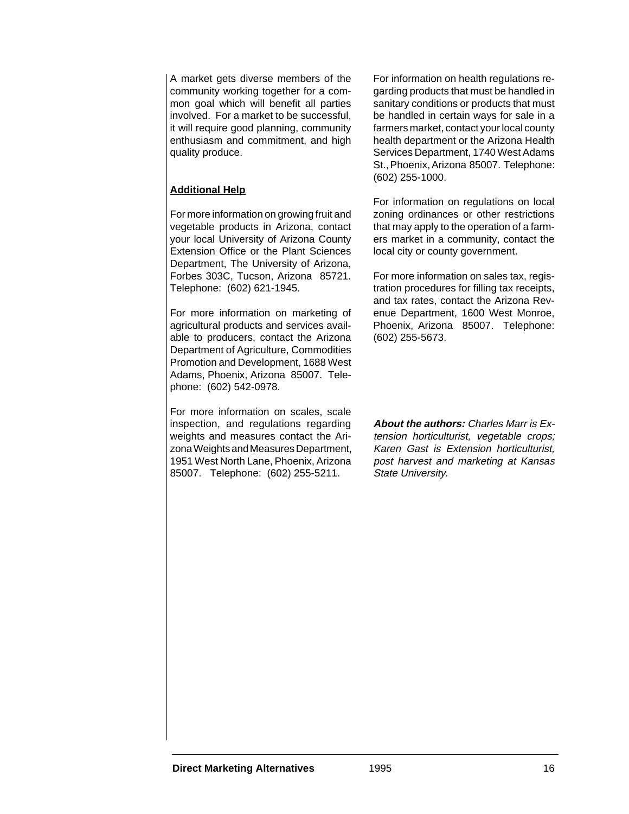A market gets diverse members of the community working together for a common goal which will benefit all parties involved. For a market to be successful, it will require good planning, community enthusiasm and commitment, and high quality produce.

## **Additional Help**

For more information on growing fruit and vegetable products in Arizona, contact your local University of Arizona County Extension Office or the Plant Sciences Department, The University of Arizona, Forbes 303C, Tucson, Arizona 85721. Telephone: (602) 621-1945.

For more information on marketing of agricultural products and services available to producers, contact the Arizona Department of Agriculture, Commodities Promotion and Development, 1688 West Adams, Phoenix, Arizona 85007. Telephone: (602) 542-0978.

For more information on scales, scale inspection, and regulations regarding weights and measures contact the Arizona Weights and Measures Department, 1951 West North Lane, Phoenix, Arizona 85007. Telephone: (602) 255-5211.

For information on health regulations regarding products that must be handled in sanitary conditions or products that must be handled in certain ways for sale in a farmers market, contact your local county health department or the Arizona Health Services Department, 1740 West Adams St., Phoenix, Arizona 85007. Telephone: (602) 255-1000.

For information on regulations on local zoning ordinances or other restrictions that may apply to the operation of a farmers market in a community, contact the local city or county government.

For more information on sales tax, registration procedures for filling tax receipts, and tax rates, contact the Arizona Revenue Department, 1600 West Monroe, Phoenix, Arizona 85007. Telephone: (602) 255-5673.

**About the authors:** Charles Marr is Extension horticulturist, vegetable crops; Karen Gast is Extension horticulturist, post harvest and marketing at Kansas State University.